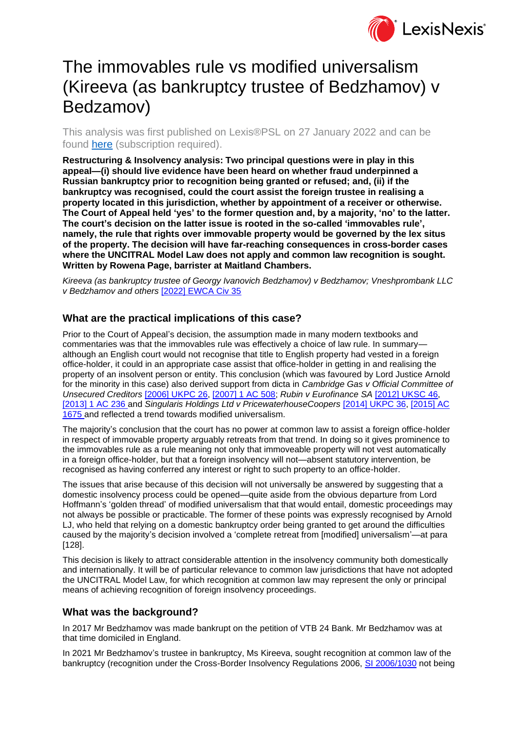

# The immovables rule vs modified universalism (Kireeva (as bankruptcy trustee of Bedzhamov) v Bedzamov)

This analysis was first published on Lexis®PSL on 27 January 2022 and can be found [here](https://www.lexisnexis.com/uk/lexispsl/bankingandfinance/docfromresult/D-WA-A-YC-YC-MsSWYWC-UUA-UZEYAAUUW-U-U-U-U-U-U-AZVZVYWBCE-AZVVUZBACE-WDVAWDBDY-U-U/1/412012?lni=64MR-KV93-CGX8-01D8-00000-00) (subscription required).

**Restructuring & Insolvency analysis: Two principal questions were in play in this appeal—(i) should live evidence have been heard on whether fraud underpinned a Russian bankruptcy prior to recognition being granted or refused; and, (ii) if the bankruptcy was recognised, could the court assist the foreign trustee in realising a property located in this jurisdiction, whether by appointment of a receiver or otherwise. The Court of Appeal held 'yes' to the former question and, by a majority, 'no' to the latter. The court's decision on the latter issue is rooted in the so-called 'immovables rule', namely, the rule that rights over immovable property would be governed by the lex situs of the property. The decision will have far-reaching consequences in cross-border cases where the UNCITRAL Model Law does not apply and common law recognition is sought. Written by Rowena Page, barrister at Maitland Chambers.**

*Kireeva (as bankruptcy trustee of Georgy Ivanovich Bedzhamov) v Bedzhamov; Vneshprombank LLC v Bedzhamov and others* [\[2022\] EWCA Civ 35](https://www.lexisnexis.com/uk/lexispsl/bankingandfinance/citationlinkHandler.faces?bct=A&service=citation&risb=&EWCACIV&$sel1!%252022%25$year!%252022%25$page!%2535%25)

## **What are the practical implications of this case?**

Prior to the Court of Appeal's decision, the assumption made in many modern textbooks and commentaries was that the immovables rule was effectively a choice of law rule. In summary although an English court would not recognise that title to English property had vested in a foreign office-holder, it could in an appropriate case assist that office-holder in getting in and realising the property of an insolvent person or entity. This conclusion (which was favoured by Lord Justice Arnold for the minority in this case) also derived support from dicta in *Cambridge Gas v Official Committee of Unsecured Creditors* [\[2006\] UKPC 26,](https://www.lexisnexis.com/uk/lexispsl/bankingandfinance/citationlinkHandler.faces?bct=A&service=citation&risb=&UKPC&$sel1!%252006%25$year!%252006%25$page!%2526%25) [\[2007\] 1 AC 508;](https://www.lexisnexis.com/uk/lexispsl/bankingandfinance/citationlinkHandler.faces?bct=A&service=citation&risb=&AC&$sel1!%252007%25$year!%252007%25$sel2!%251%25$vol!%251%25$page!%25508%25) *Rubin v Eurofinance SA* [\[2012\] UKSC 46,](https://www.lexisnexis.com/uk/lexispsl/bankingandfinance/citationlinkHandler.faces?bct=A&service=citation&risb=&UKSC&$sel1!%252012%25$year!%252012%25$page!%2546%25) [\[2013\] 1 AC 236 a](https://www.lexisnexis.com/uk/lexispsl/bankingandfinance/citationlinkHandler.faces?bct=A&service=citation&risb=&AC&$sel1!%252013%25$year!%252013%25$sel2!%251%25$vol!%251%25$page!%25236%25)nd *Singularis Holdings Ltd v PricewaterhouseCoopers* [\[2014\] UKPC 36,](https://www.lexisnexis.com/uk/lexispsl/bankingandfinance/citationlinkHandler.faces?bct=A&service=citation&risb=&UKPC&$sel1!%252014%25$year!%252014%25$page!%2536%25) [\[2015\] AC](https://www.lexisnexis.com/uk/lexispsl/bankingandfinance/citationlinkHandler.faces?bct=A&service=citation&risb=&AC&$sel1!%252015%25$year!%252015%25$page!%251675%25)  [1675 a](https://www.lexisnexis.com/uk/lexispsl/bankingandfinance/citationlinkHandler.faces?bct=A&service=citation&risb=&AC&$sel1!%252015%25$year!%252015%25$page!%251675%25)nd reflected a trend towards modified universalism.

The majority's conclusion that the court has no power at common law to assist a foreign office-holder in respect of immovable property arguably retreats from that trend. In doing so it gives prominence to the immovables rule as a rule meaning not only that immoveable property will not vest automatically in a foreign office-holder, but that a foreign insolvency will not—absent statutory intervention, be recognised as having conferred any interest or right to such property to an office-holder.

The issues that arise because of this decision will not universally be answered by suggesting that a domestic insolvency process could be opened—quite aside from the obvious departure from Lord Hoffmann's 'golden thread' of modified universalism that that would entail, domestic proceedings may not always be possible or practicable. The former of these points was expressly recognised by Arnold LJ, who held that relying on a domestic bankruptcy order being granted to get around the difficulties caused by the majority's decision involved a 'complete retreat from [modified] universalism'—at para [128].

This decision is likely to attract considerable attention in the insolvency community both domestically and internationally. It will be of particular relevance to common law jurisdictions that have not adopted the UNCITRAL Model Law, for which recognition at common law may represent the only or principal means of achieving recognition of foreign insolvency proceedings.

### **What was the background?**

In 2017 Mr Bedzhamov was made bankrupt on the petition of VTB 24 Bank. Mr Bedzhamov was at that time domiciled in England.

In 2021 Mr Bedzhamov's trustee in bankruptcy, Ms Kireeva, sought recognition at common law of the bankruptcy (recognition under the Cross-Border Insolvency Regulations 2006, [SI 2006/1030](https://www.lexisnexis.com/uk/lexispsl/bankingandfinance/citationlinkHandler.faces?bct=A&service=citation&risb=&UK_LEG&$num!%252006_1030s_Title%25) not being